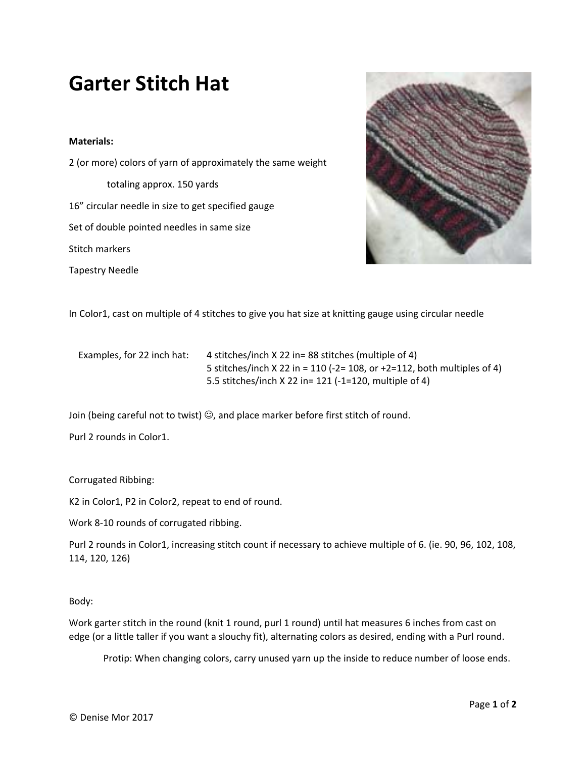## **Garter Stitch Hat**

## **Materials:**

2 (or more) colors of yarn of approximately the same weight totaling approx. 150 yards 16" circular needle in size to get specified gauge Set of double pointed needles in same size Stitch markers Tapestry Needle



In Color1, cast on multiple of 4 stitches to give you hat size at knitting gauge using circular needle

Examples, for 22 inch hat: 4 stitches/inch X 22 in= 88 stitches (multiple of 4) 5 stitches/inch X 22 in = 110 (‐2= 108, or +2=112, both multiples of 4) 5.5 stitches/inch X 22 in= 121 (‐1=120, multiple of 4)

Join (being careful not to twist)  $\odot$ , and place marker before first stitch of round.

Purl 2 rounds in Color1.

Corrugated Ribbing:

K2 in Color1, P2 in Color2, repeat to end of round.

Work 8‐10 rounds of corrugated ribbing.

Purl 2 rounds in Color1, increasing stitch count if necessary to achieve multiple of 6. (ie. 90, 96, 102, 108, 114, 120, 126)

Body:

Work garter stitch in the round (knit 1 round, purl 1 round) until hat measures 6 inches from cast on edge (or a little taller if you want a slouchy fit), alternating colors as desired, ending with a Purl round.

Protip: When changing colors, carry unused yarn up the inside to reduce number of loose ends.